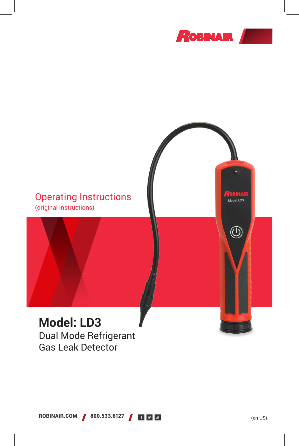

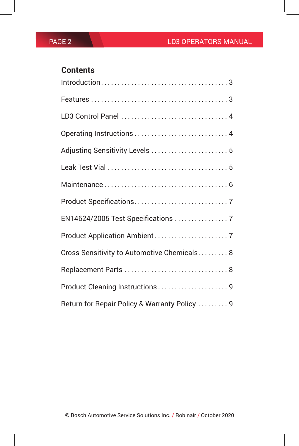## **Contents**

| $Introduction \ldots \ldots \ldots \ldots \ldots \ldots \ldots \ldots \ldots \ldots \ldots \ldots 3$ |
|------------------------------------------------------------------------------------------------------|
|                                                                                                      |
|                                                                                                      |
|                                                                                                      |
|                                                                                                      |
|                                                                                                      |
|                                                                                                      |
|                                                                                                      |
| EN14624/2005 Test Specifications  7                                                                  |
|                                                                                                      |
| Cross Sensitivity to Automotive Chemicals 8                                                          |
|                                                                                                      |
| Product Cleaning Instructions9                                                                       |
| Return for Repair Policy & Warranty Policy  9                                                        |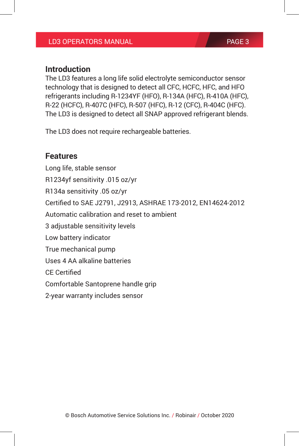### **Introduction**

The LD3 features a long life solid electrolyte semiconductor sensor technology that is designed to detect all CFC, HCFC, HFC, and HFO refrigerants including R-1234YF (HFO), R-134A (HFC), R-410A (HFC), R-22 (HCFC), R-407C (HFC), R-507 (HFC), R-12 (CFC), R-404C (HFC). The LD3 is designed to detect all SNAP approved refrigerant blends.

The LD3 does not require rechargeable batteries.

### **Features**

Long life, stable sensor R1234yf sensitivity .015 oz/yr R134a sensitivity .05 oz/yr Certified to SAE J2791, J2913, ASHRAE 173-2012, EN14624-2012 Automatic calibration and reset to ambient 3 adjustable sensitivity levels Low battery indicator True mechanical pump Uses 4 AA alkaline batteries CE Certified Comfortable Santoprene handle grip 2-year warranty includes sensor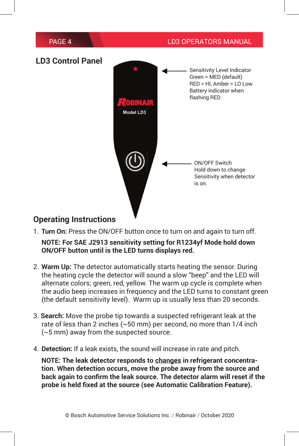

### **LD3 Control Panel**



### **Operating Instructions**

- 1. **Turn On:** Press the ON/OFF button once to turn on and again to turn off. **NOTE: For SAE J2913 sensitivity setting for R1234yf Mode hold down ON/OFF button until is the LED turns displays red.**
- 2. **Warm Up:** The detector automatically starts heating the sensor. During the heating cycle the detector will sound a slow "beep" and the LED will alternate colors; green, red, yellow. The warm up cycle is complete when the audio beep increases in frequency and the LED turns to constant green (the default sensitivity level). Warm up is usually less than 20 seconds.
- 3. **Search:** Move the probe tip towards a suspected refrigerant leak at the rate of less than 2 inches (~50 mm) per second, no more than 1/4 inch (~5 mm) away from the suspected source.
- 4. **Detection:** If a leak exists, the sound will increase in rate and pitch.

**NOTE: The leak detector responds to changes in refrigerant concentration. When detection occurs, move the probe away from the source and back again to confirm the leak source. The detector alarm will reset if the probe is held fixed at the source (see Automatic Calibration Feature).**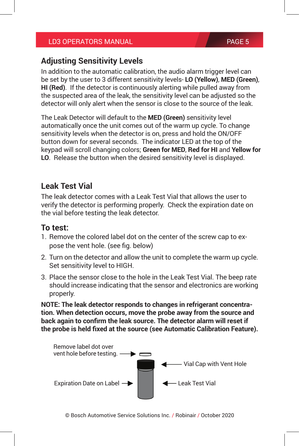### **Adjusting Sensitivity Levels**

In addition to the automatic calibration, the audio alarm trigger level can be set by the user to 3 different sensitivity levels- **LO (Yellow)**, **MED (Green)**, **HI (Red)**. If the detector is continuously alerting while pulled away from the suspected area of the leak, the sensitivity level can be adjusted so the detector will only alert when the sensor is close to the source of the leak.

The Leak Detector will default to the **MED (Green)** sensitivity level automatically once the unit comes out of the warm up cycle. To change sensitivity levels when the detector is on, press and hold the ON/OFF button down for several seconds. The indicator LED at the top of the keypad will scroll changing colors; **Green for MED**, **Red for HI** and **Yellow for LO**. Release the button when the desired sensitivity level is displayed.

### **Leak Test Vial**

The leak detector comes with a Leak Test Vial that allows the user to verify the detector is performing properly. Check the expiration date on the vial before testing the leak detector.

### **To test:**

- 1. Remove the colored label dot on the center of the screw cap to expose the vent hole. (see fig. below)
- 2. Turn on the detector and allow the unit to complete the warm up cycle. Set sensitivity level to HIGH.
- 3. Place the sensor close to the hole in the Leak Test Vial. The beep rate should increase indicating that the sensor and electronics are working properly.

**NOTE: The leak detector responds to changes in refrigerant concentration. When detection occurs, move the probe away from the source and back again to confirm the leak source. The detector alarm will reset if the probe is held fixed at the source (see Automatic Calibration Feature).**

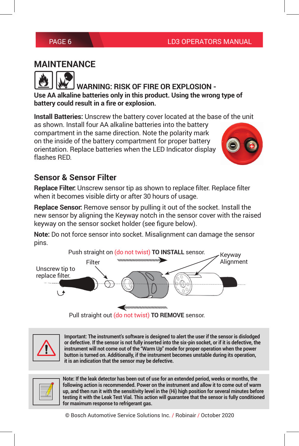## **MAINTENANCE**

 **WARNING: RISK OF FIRE OR EXPLOSION - Use AA alkaline batteries only in this product. Using the wrong type of battery could result in a fire or explosion.**

**Install Batteries:** Unscrew the battery cover located at the base of the unit

as shown. Install four AA alkaline batteries into the battery compartment in the same direction. Note the polarity mark on the inside of the battery compartment for proper battery orientation. Replace batteries when the LED Indicator display flashes RED.



## **Sensor & Sensor Filter**

**Replace Filter:** Unscrew sensor tip as shown to replace filter. Replace filter when it becomes visible dirty or after 30 hours of usage.

**Replace Sensor:** Remove sensor by pulling it out of the socket. Install the new sensor by aligning the Keyway notch in the sensor cover with the raised keyway on the sensor socket holder (see figure below).

**Note:** Do not force sensor into socket. Misalignment can damage the sensor pins.



Pull straight out (do not twist) **TO REMOVE** sensor.

| _________ |
|-----------|
|-----------|

**Important: The instrument's software is designed to alert the user if the sensor is dislodged or defective. If the sensor is not fully inserted into the six-pin socket, or if it is defective, the instrument will not come out of the "Warm Up" mode for proper operation when the power button is turned on. Additionally, if the instrument becomes unstable during its operation, it is an indication that the sensor may be defective.**



**Note: If the leak detector has been out of use for an extended period, weeks or months, the following action is recommended. Power on the instrument and allow it to come out of warm up, and then run it with the sensitivity level in the (Hi) high position for several minutes before testing it with the Leak Test Vial. This action will guarantee that the sensor is fully conditioned for maximum response to refrigerant gas.**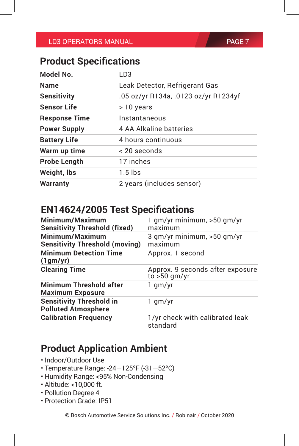## **Product Specifications**

| Model No.            | I D3                                 |  |
|----------------------|--------------------------------------|--|
| <b>Name</b>          | Leak Detector, Refrigerant Gas       |  |
| <b>Sensitivity</b>   | .05 oz/yr R134a, .0123 oz/yr R1234yf |  |
| <b>Sensor Life</b>   | > 10 years                           |  |
| <b>Response Time</b> | Instantaneous                        |  |
| <b>Power Supply</b>  | 4 AA Alkaline batteries              |  |
| <b>Battery Life</b>  | 4 hours continuous                   |  |
| Warm up time         | < 20 seconds                         |  |
| <b>Probe Length</b>  | 17 inches                            |  |
| Weight, Ibs          | $1.5$ lbs                            |  |
| <b>Warranty</b>      | 2 years (includes sensor)            |  |

## **EN14624/2005 Test Specifications**

| Minimum/Maximum<br><b>Sensitivity Threshold (fixed)</b>       | $1$ gm/yr minimum, $>50$ gm/yr<br>maximum          |  |
|---------------------------------------------------------------|----------------------------------------------------|--|
| Minimum/Maximum<br><b>Sensitivity Threshold (moving)</b>      | 3 gm/yr minimum, >50 gm/yr<br>maximum              |  |
| <b>Minimum Detection Time</b><br>(1gm/yr)                     | Approx. 1 second                                   |  |
| <b>Clearing Time</b>                                          | Approx. 9 seconds after exposure<br>to $>50$ gm/yr |  |
| <b>Minimum Threshold after</b><br><b>Maximum Exposure</b>     | 1 gm/yr                                            |  |
| <b>Sensitivity Threshold in</b><br><b>Polluted Atmosphere</b> | 1 gm/yr                                            |  |
| <b>Calibration Frequency</b>                                  | 1/yr check with calibrated leak<br>standard        |  |

# **Product Application Ambient**

- Indoor/Outdoor Use
- Temperature Range: -24—125**°**F (-31—52**°**C)
- Humidity Range: <95% Non-Condensing
- Altitude: <10,000 ft.
- Pollution Degree 4
- Protection Grade: IP51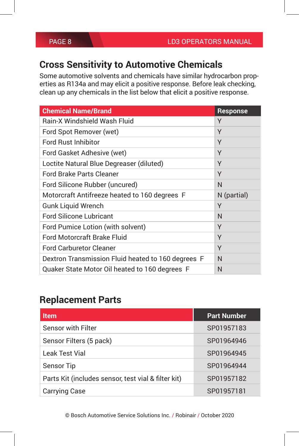# **Cross Sensitivity to Automotive Chemicals**

Some automotive solvents and chemicals have similar hydrocarbon properties as R134a and may elicit a positive response. Before leak checking, clean up any chemicals in the list below that elicit a positive response.

| <b>Chemical Name/Brand</b>                         | <b>Response</b> |
|----------------------------------------------------|-----------------|
| Rain-X Windshield Wash Fluid                       | Υ               |
| Ford Spot Remover (wet)                            | Υ               |
| Ford Rust Inhibitor                                | Υ               |
| Ford Gasket Adhesive (wet)                         | Υ               |
| Loctite Natural Blue Degreaser (diluted)           | Υ               |
| Ford Brake Parts Cleaner                           | Y               |
| Ford Silicone Rubber (uncured)                     | N               |
| Motorcraft Antifreeze heated to 160 degrees F      | N (partial)     |
| <b>Gunk Liquid Wrench</b>                          | Y               |
| <b>Ford Silicone Lubricant</b>                     | N               |
| Ford Pumice Lotion (with solvent)                  | Υ               |
| Ford Motorcraft Brake Fluid                        | Y               |
| <b>Ford Carburetor Cleaner</b>                     | Υ               |
| Dextron Transmission Fluid heated to 160 degrees F | N               |
| Quaker State Motor Oil heated to 160 degrees F     | N               |

## **Replacement Parts**

| <b>Item</b>                                         | <b>Part Number</b> |
|-----------------------------------------------------|--------------------|
| <b>Sensor with Filter</b>                           | SP01957183         |
| Sensor Filters (5 pack)                             | SP01964946         |
| <b>Leak Test Vial</b>                               | SP01964945         |
| Sensor Tip                                          | SP01964944         |
| Parts Kit (includes sensor, test vial & filter kit) | SP01957182         |
| <b>Carrying Case</b>                                | SP01957181         |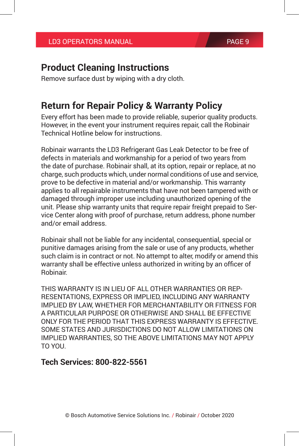## **Product Cleaning Instructions**

Remove surface dust by wiping with a dry cloth.

## **Return for Repair Policy & Warranty Policy**

Every effort has been made to provide reliable, superior quality products. However, in the event your instrument requires repair, call the Robinair Technical Hotline below for instructions.

Robinair warrants the LD3 Refrigerant Gas Leak Detector to be free of defects in materials and workmanship for a period of two years from the date of purchase. Robinair shall, at its option, repair or replace, at no charge, such products which, under normal conditions of use and service, prove to be defective in material and/or workmanship. This warranty applies to all repairable instruments that have not been tampered with or damaged through improper use including unauthorized opening of the unit. Please ship warranty units that require repair freight prepaid to Service Center along with proof of purchase, return address, phone number and/or email address.

Robinair shall not be liable for any incidental, consequential, special or punitive damages arising from the sale or use of any products, whether such claim is in contract or not. No attempt to alter, modify or amend this warranty shall be effective unless authorized in writing by an officer of Robinair.

THIS WARRANTY IS IN LIEU OF ALL OTHER WARRANTIES OR REP-RESENTATIONS, EXPRESS OR IMPLIED, INCLUDING ANY WARRANTY IMPLIED BY LAW, WHETHER FOR MERCHANTABILITY OR FITNESS FOR A PARTICULAR PURPOSE OR OTHERWISE AND SHALL BE EFFECTIVE ONLY FOR THE PERIOD THAT THIS EXPRESS WARRANTY IS EFFECTIVE. SOME STATES AND JURISDICTIONS DO NOT ALLOW LIMITATIONS ON IMPLIED WARRANTIES, SO THE ABOVE LIMITATIONS MAY NOT APPLY TO YOU.

### **Tech Services: 800-822-5561**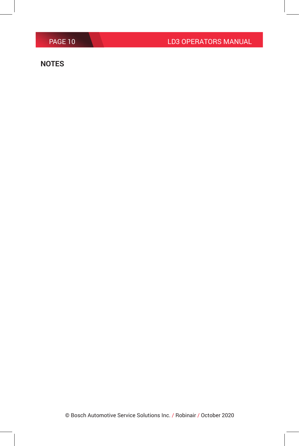#### **NOTES**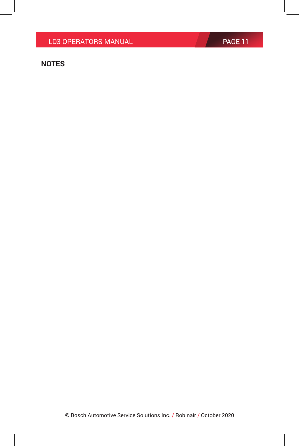### **NOTES**